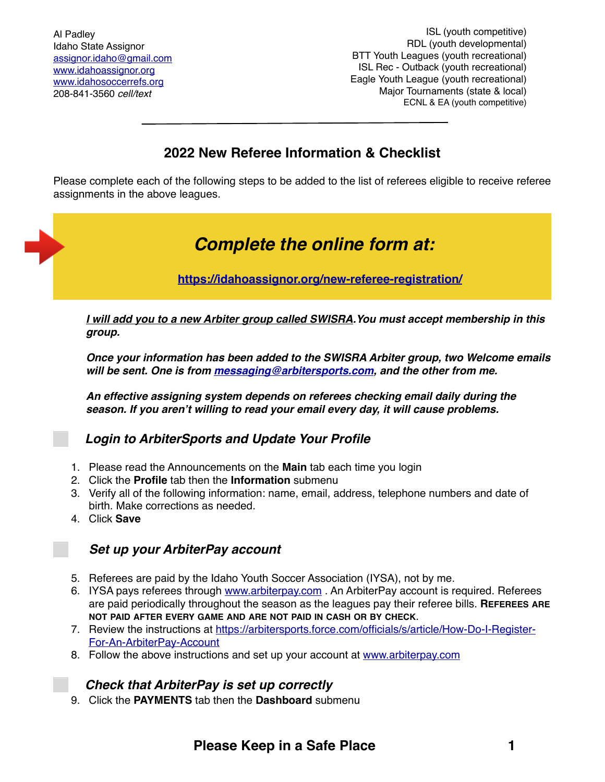# **2022 New Referee Information & Checklist**

Please complete each of the following steps to be added to the list of referees eligible to receive referee assignments in the above leagues.

# *Complete the online form at:*

**<https://idahoassignor.org/new-referee-registration/>**

*I will add you to a new Arbiter group called SWISRA.You must accept membership in this group.*

*Once your information has been added to the SWISRA Arbiter group, two Welcome emails will be sent. One is from [messaging@arbitersports.com](mailto:messaging@arbitersports.com), and the other from me.*

*An effective assigning system depends on referees checking email daily during the season. If you aren't willing to read your email every day, it will cause problems.*

## ⬜ *Login to ArbiterSports and Update Your Profile*

- 1. Please read the Announcements on the **Main** tab each time you login
- 2. Click the **Profile** tab then the **Information** submenu
- 3. Verify all of the following information: name, email, address, telephone numbers and date of birth. Make corrections as needed.
- 4. Click **Save**

## ⬜ *Set up your ArbiterPay account*

- 5. Referees are paid by the Idaho Youth Soccer Association (IYSA), not by me.
- 6. IYSA pays referees through [www.arbiterpay.com](http://www.arbiterpay.com) . An ArbiterPay account is required. Referees are paid periodically throughout the season as the leagues pay their referee bills. **REFEREES ARE NOT PAID AFTER EVERY GAME AND ARE NOT PAID IN CASH OR BY CHECK**.
- 7. [Review the instructions at https://arbitersports.force.com/officials/s/article/How-Do-I-Register-](https://arbitersports.force.com/officials/s/article/How-Do-I-Register-For-An-ArbiterPay-Account)[For-An-ArbiterPay-Account](https://arbitersports.force.com/officials/s/article/How-Do-I-Register-For-An-ArbiterPay-Account)
- 8. Follow the above instructions and set up your account at [www.arbiterpay.com](http://www.arbiterpay.com)

## ⬜ *Check that ArbiterPay is set up correctly*

9. Click the **PAYMENTS** tab then the **Dashboard** submenu

# **Please Keep in a Safe Place 1**